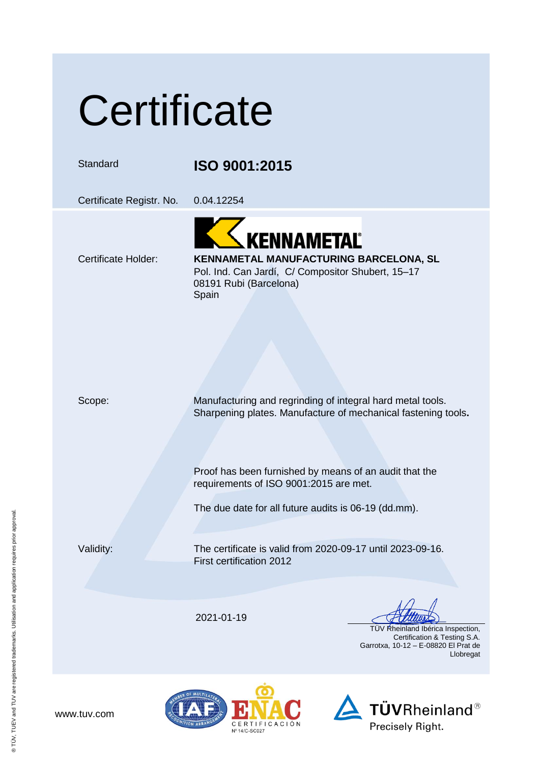## **Certificate**

Standard **ISO 9001:2015**

Certificate Registr. No. 0.04.12254

KENNAMETAL<sup>®</sup>

#### Certificate Holder: **KENNAMETAL MANUFACTURING BARCELONA, SL** Pol. Ind. Can Jardí, C/ Compositor Shubert, 15–17

08191 Rubi (Barcelona) **Spain** 

Scope: Manufacturing and regrinding of integral hard metal tools. Sharpening plates. Manufacture of mechanical fastening tools**.**

> Proof has been furnished by means of an audit that the requirements of ISO 9001:2015 are met.

The due date for all future audits is 06-19 (dd.mm).

www.tuv.com

Validity: The certificate is valid from 2020-09-17 until 2023-09-16. First certification 2012

2021-01-19

 TÜV Rheinland Ibérica Inspection, Certification & Testing S.A. Garrotxa, 10-12 – E-08820 El Prat de Llobregat



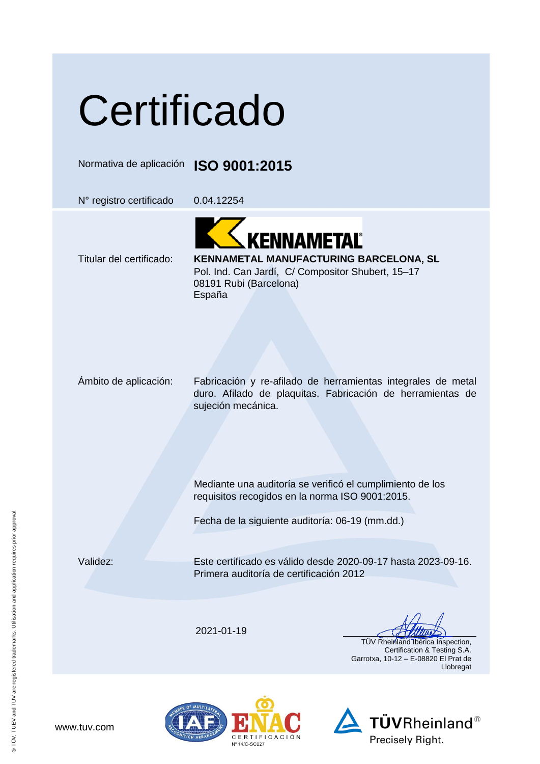# **Certificado**

Normativa de aplicación **ISO 9001:2015**

N° registro certificado 0.04.12254

KENNAMETAL®

### Titular del certificado: **KENNAMETAL MANUFACTURING BARCELONA, SL**

Pol. Ind. Can Jardí, C/ Compositor Shubert, 15–17 08191 Rubi (Barcelona) España

Ámbito de aplicación: Fabricación y re-afilado de herramientas integrales de metal duro. Afilado de plaquitas. Fabricación de herramientas de sujeción mecánica.

> Mediante una auditoría se verificó el cumplimiento de los requisitos recogidos en la norma ISO 9001:2015.

Fecha de la siguiente auditoría: 06-19 (mm.dd.)

Validez: Este certificado es válido desde 2020-09-17 hasta 2023-09-16. Primera auditoría de certificación 2012

2021-01-19

 TÜV Rheinland Ibérica Inspection, Certification & Testing S.A. Garrotxa, 10-12 – E-08820 El Prat de Llobregat